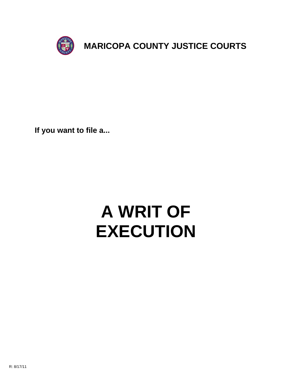

**If you want to file a...**

# **A WRIT OF EXECUTION**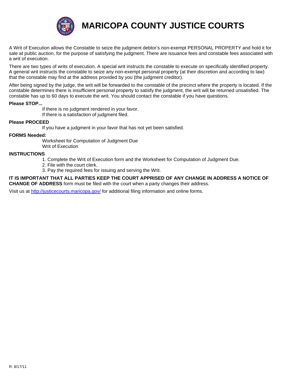

**MARICOPA COUNTY JUSTICE COURTS**

A Writ of Execution allows the Constable to seize the judgment debtor's non-exempt PERSONAL PROPERTY and hold it for sale at public auction, for the purpose of satisfying the judgment. There are issuance fees and constable fees associated with a writ of execution.

There are two types of writs of execution. A special writ instructs the constable to execute on specifically identified property. A general writ instructs the constable to seize any non-exempt personal property (at their discretion and according to law) that the constable may find at the address provided by you (the judgment creditor).

After being signed by the judge, the writ will be forwarded to the constable of the precinct where the property is located. If the constable determines there is insufficient personal property to satisfy the judgment, the writ will be returned unsatisfied. The constable has up to 60 days to execute the writ. You should contact the constable if you have questions.

## **Please STOP...**

 If there is no judgment rendered in your favor. If there is a satisfaction of judgment filed.

## **Please PROCEED**

If you have a judgment in your favor that has not yet been satisfied.

## **FORMS Needed:**

 Worksheet for Computation of Judgment Due Writ of Execution

#### **INSTRUC[TIONS](http://justicecourts.maricopa.gov/)**

- 1. Complete the Writ of Execution form and the Worksheet for Computation of Judgment Due.
- 2. File with the court clerk.
- 3. Pay the required fees for issuing and serving the Writ.

#### **IT IS IMPORTANT THAT ALL PARTIES KEEP THE COURT APPRISED OF ANY CHANGE IN ADDRESS A NOTICE OF CHANGE OF ADDRESS** form must be filed with the court when a party changes their address.

Visit us at http://justicecourts.maricopa.gov/ for additional filing information and online forms.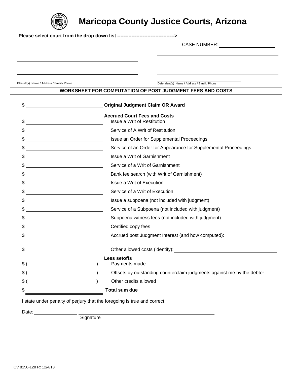

**Maricopa County Justice Courts, Arizona**

**Please select court from the drop down list ------------------------------------>**

CASE NUMBER:

Plaintiff(s) Name / Address / Email / Phone Defendant(s) Name / Address / Email / Phone

# **WORKSHEET FOR COMPUTATION OF POST JUDGMENT FEES AND COSTS**

| \$                                                                                                                                                                                                                                                                                                                  |  | <b>Original Judgment Claim OR Award</b>                                  |  |
|---------------------------------------------------------------------------------------------------------------------------------------------------------------------------------------------------------------------------------------------------------------------------------------------------------------------|--|--------------------------------------------------------------------------|--|
| \$                                                                                                                                                                                                                                                                                                                  |  | <b>Accrued Court Fees and Costs</b><br>Issue a Writ of Restitution       |  |
| <u> 1989 - Johann Barn, mars eta bainar eta industrial eta industrial eta industrial eta industrial eta industria</u>                                                                                                                                                                                               |  | Service of A Writ of Restitution                                         |  |
| $\frac{1}{2}$                                                                                                                                                                                                                                                                                                       |  | Issue an Order for Supplemental Proceedings                              |  |
| $\frac{1}{2}$                                                                                                                                                                                                                                                                                                       |  | Service of an Order for Appearance for Supplemental Proceedings          |  |
| $\frac{1}{2}$                                                                                                                                                                                                                                                                                                       |  | Issue a Writ of Garnishment                                              |  |
| $\frac{1}{2}$ $\frac{1}{2}$ $\frac{1}{2}$ $\frac{1}{2}$ $\frac{1}{2}$ $\frac{1}{2}$ $\frac{1}{2}$ $\frac{1}{2}$ $\frac{1}{2}$ $\frac{1}{2}$ $\frac{1}{2}$ $\frac{1}{2}$ $\frac{1}{2}$ $\frac{1}{2}$ $\frac{1}{2}$ $\frac{1}{2}$ $\frac{1}{2}$ $\frac{1}{2}$ $\frac{1}{2}$ $\frac{1}{2}$ $\frac{1}{2}$ $\frac{1}{2}$ |  | Service of a Writ of Garnishment                                         |  |
| $\frac{1}{2}$                                                                                                                                                                                                                                                                                                       |  | Bank fee search (with Writ of Garnishment)                               |  |
| $\frac{1}{2}$                                                                                                                                                                                                                                                                                                       |  | Issue a Writ of Execution                                                |  |
| $\frac{1}{2}$                                                                                                                                                                                                                                                                                                       |  | Service of a Writ of Execution                                           |  |
| $\frac{1}{2}$                                                                                                                                                                                                                                                                                                       |  | Issue a subpoena (not included with judgment)                            |  |
| $\frac{1}{2}$                                                                                                                                                                                                                                                                                                       |  | Service of a Subpoena (not included with judgment)                       |  |
|                                                                                                                                                                                                                                                                                                                     |  | Subpoena witness fees (not included with judgment)                       |  |
| <u> 1980 - Johann Barn, mars an t-Amerikaansk komponister (</u>                                                                                                                                                                                                                                                     |  | Certified copy fees                                                      |  |
|                                                                                                                                                                                                                                                                                                                     |  | Accrued post Judgment Interest (and how computed):                       |  |
| \$                                                                                                                                                                                                                                                                                                                  |  |                                                                          |  |
| \$()                                                                                                                                                                                                                                                                                                                |  | <b>Less setoffs</b><br>Payments made                                     |  |
|                                                                                                                                                                                                                                                                                                                     |  | Offsets by outstanding counterclaim judgments against me by the debtor   |  |
| $\quad \  \  \, \$ \; (\; \underline{\hspace{1.5cm}})$                                                                                                                                                                                                                                                              |  | Other credits allowed                                                    |  |
|                                                                                                                                                                                                                                                                                                                     |  | <b>Total sum due</b>                                                     |  |
|                                                                                                                                                                                                                                                                                                                     |  | I state under penalty of perjury that the foregoing is true and correct. |  |

Date:

**Signature** Signature